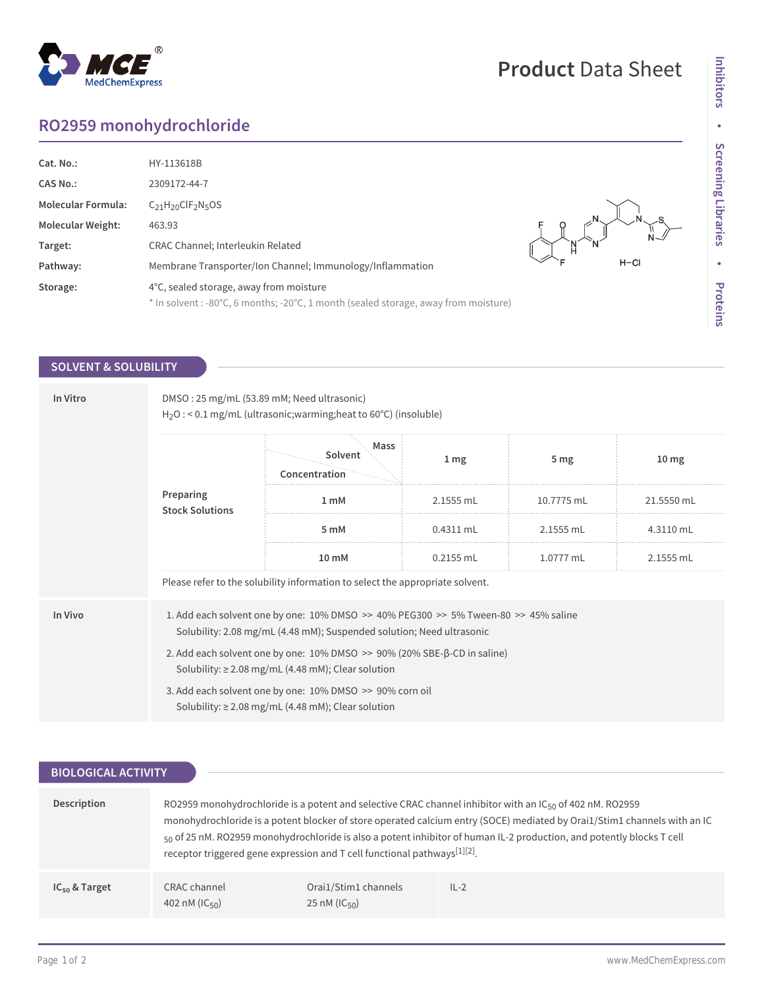## **RO2959 monohydrochloride**

MedChemExpress

 $^{\circledR}$ 

| Cat. No.:                 | HY-113618B                                                                          |        |        |
|---------------------------|-------------------------------------------------------------------------------------|--------|--------|
| <b>CAS No.:</b>           | 2309172-44-7                                                                        |        |        |
| <b>Molecular Formula:</b> | $C_{21}H_{20}CIF_{2}N_{5}OS$                                                        |        |        |
| <b>Molecular Weight:</b>  | 463.93                                                                              |        |        |
| Target:                   | <b>CRAC Channel</b> ; Interleukin Related                                           | N<br>H |        |
| Pathway:                  | Membrane Transporter/Ion Channel; Immunology/Inflammation                           |        | $H-CI$ |
| Storage:                  | 4°C, sealed storage, away from moisture                                             |        |        |
|                           | * In solvent : -80°C, 6 months; -20°C, 1 month (sealed storage, away from moisture) |        |        |

## **SOLVENT & SOLUBILITY**

| In Vitro | DMSO: 25 mg/mL (53.89 mM; Need ultrasonic)<br>$H_2O$ : < 0.1 mg/mL (ultrasonic; warming; heat to 60°C) (insoluble)                                                          |                                  |                 |                 |                  |  |
|----------|-----------------------------------------------------------------------------------------------------------------------------------------------------------------------------|----------------------------------|-----------------|-----------------|------------------|--|
|          | Preparing<br><b>Stock Solutions</b>                                                                                                                                         | Mass<br>Solvent<br>Concentration | 1 <sub>mg</sub> | 5 <sub>mg</sub> | 10 <sub>mg</sub> |  |
|          |                                                                                                                                                                             | 1 mM                             | 2.1555 mL       | 10.7775 mL      | 21.5550 mL       |  |
|          |                                                                                                                                                                             | 5 mM                             | $0.4311$ mL     | 2.1555 mL       | 4.3110 mL        |  |
|          |                                                                                                                                                                             | $10 \text{ mM}$                  | $0.2155$ mL     | 1.0777 mL       | 2.1555 mL        |  |
|          | Please refer to the solubility information to select the appropriate solvent.                                                                                               |                                  |                 |                 |                  |  |
| In Vivo  | 1. Add each solvent one by one: $10\%$ DMSO $\geq$ 40% PEG300 $\geq$ 5% Tween-80 $\geq$ 45% saline<br>Solubility: 2.08 mg/mL (4.48 mM); Suspended solution; Need ultrasonic |                                  |                 |                 |                  |  |
|          | 2. Add each solvent one by one: $10\%$ DMSO $\geq$ 90% (20% SBE- $\beta$ -CD in saline)<br>Solubility: $\geq$ 2.08 mg/mL (4.48 mM); Clear solution                          |                                  |                 |                 |                  |  |
|          | 3. Add each solvent one by one: 10% DMSO >> 90% corn oil<br>Solubility: $\geq$ 2.08 mg/mL (4.48 mM); Clear solution                                                         |                                  |                 |                 |                  |  |

| <b>BIOLOGICAL ACTIVITY</b> |                                           |                                                                          |                                                                                                                                                                                                                                                                                                                                                                         |
|----------------------------|-------------------------------------------|--------------------------------------------------------------------------|-------------------------------------------------------------------------------------------------------------------------------------------------------------------------------------------------------------------------------------------------------------------------------------------------------------------------------------------------------------------------|
| Description                |                                           | receptor triggered gene expression and T cell functional pathways[1][2]. | RO2959 monohydrochloride is a potent and selective CRAC channel inhibitor with an $IC_{50}$ of 402 nM. RO2959<br>monohydrochloride is a potent blocker of store operated calcium entry (SOCE) mediated by Orai1/Stim1 channels with an IC<br>$_{50}$ of 25 nM. RO2959 monohydrochloride is also a potent inhibitor of human IL-2 production, and potently blocks T cell |
| $IC_{50}$ & Target         | CRAC channel<br>402 nM ( $ C_{50}\rangle$ | Orai1/Stim1 channels<br>25 nM ( $IC_{50}$ )                              | $IL-2$                                                                                                                                                                                                                                                                                                                                                                  |

**Product** Data Sheet